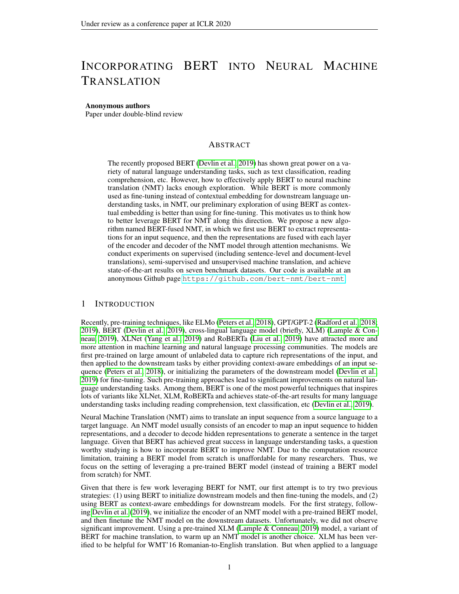# INCORPORATING BERT INTO NEURAL MACHINE TRANSLATION

#### Anonymous authors

Paper under double-blind review

# ABSTRACT

The recently proposed BERT [\(Devlin et al., 2019\)](#page-10-0) has shown great power on a variety of natural language understanding tasks, such as text classification, reading comprehension, etc. However, how to effectively apply BERT to neural machine translation (NMT) lacks enough exploration. While BERT is more commonly used as fine-tuning instead of contextual embedding for downstream language understanding tasks, in NMT, our preliminary exploration of using BERT as contextual embedding is better than using for fine-tuning. This motivates us to think how to better leverage BERT for NMT along this direction. We propose a new algorithm named BERT-fused NMT, in which we first use BERT to extract representations for an input sequence, and then the representations are fused with each layer of the encoder and decoder of the NMT model through attention mechanisms. We conduct experiments on supervised (including sentence-level and document-level translations), semi-supervised and unsupervised machine translation, and achieve state-of-the-art results on seven benchmark datasets. Our code is available at an anonymous Github page <https://github.com/bert-nmt/bert-nmt>.

# 1 INTRODUCTION

Recently, pre-training techniques, like ELMo [\(Peters et al., 2018\)](#page-11-0), GPT/GPT-2 [\(Radford et al., 2018;](#page-11-1) [2019\)](#page-11-2), BERT [\(Devlin et al., 2019\)](#page-10-0), cross-lingual language model (briefly, XLM) [\(Lample & Con](#page-10-1)[neau, 2019\)](#page-10-1), XLNet [\(Yang et al., 2019\)](#page-12-0) and RoBERTa [\(Liu et al., 2019\)](#page-10-2) have attracted more and more attention in machine learning and natural language processing communities. The models are first pre-trained on large amount of unlabeled data to capture rich representations of the input, and then applied to the downstream tasks by either providing context-aware embeddings of an input sequence [\(Peters et al., 2018\)](#page-11-0), or initializing the parameters of the downstream model [\(Devlin et al.,](#page-10-0) [2019\)](#page-10-0) for fine-tuning. Such pre-training approaches lead to significant improvements on natural language understanding tasks. Among them, BERT is one of the most powerful techniques that inspires lots of variants like XLNet, XLM, RoBERTa and achieves state-of-the-art results for many language understanding tasks including reading comprehension, text classification, etc [\(Devlin et al., 2019\)](#page-10-0).

Neural Machine Translation (NMT) aims to translate an input sequence from a source language to a target language. An NMT model usually consists of an encoder to map an input sequence to hidden representations, and a decoder to decode hidden representations to generate a sentence in the target language. Given that BERT has achieved great success in language understanding tasks, a question worthy studying is how to incorporate BERT to improve NMT. Due to the computation resource limitation, training a BERT model from scratch is unaffordable for many researchers. Thus, we focus on the setting of leveraging a pre-trained BERT model (instead of training a BERT model from scratch) for NMT.

Given that there is few work leveraging BERT for NMT, our first attempt is to try two previous strategies: (1) using BERT to initialize downstream models and then fine-tuning the models, and (2) using BERT as context-aware embeddings for downstream models. For the first strategy, following [Devlin et al.](#page-10-0) [\(2019\)](#page-10-0), we initialize the encoder of an NMT model with a pre-trained BERT model, and then finetune the NMT model on the downstream datasets. Unfortunately, we did not observe significant improvement. Using a pre-trained XLM [\(Lample & Conneau, 2019\)](#page-10-1) model, a variant of BERT for machine translation, to warm up an NMT model is another choice. XLM has been verified to be helpful for WMT'16 Romanian-to-English translation. But when applied to a language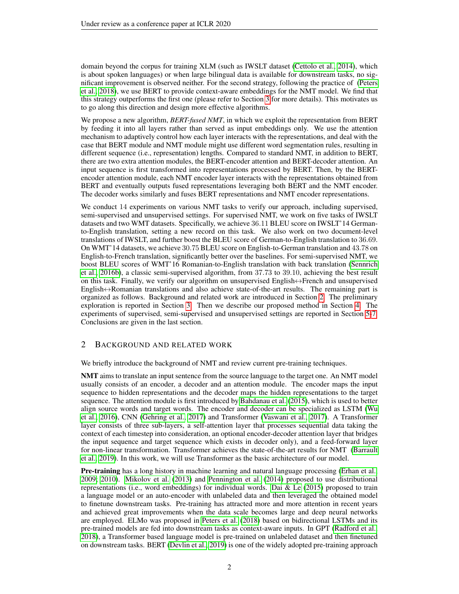domain beyond the corpus for training XLM (such as IWSLT dataset [\(Cettolo et al., 2014\)](#page-10-3), which is about spoken languages) or when large bilingual data is available for downstream tasks, no significant improvement is observed neither. For the second strategy, following the practice of [\(Peters](#page-11-0) [et al., 2018\)](#page-11-0), we use BERT to provide context-aware embeddings for the NMT model. We find that this strategy outperforms the first one (please refer to Section [3](#page-2-0) for more details). This motivates us to go along this direction and design more effective algorithms.

We propose a new algorithm, *BERT-fused NMT*, in which we exploit the representation from BERT by feeding it into all layers rather than served as input embeddings only. We use the attention mechanism to adaptively control how each layer interacts with the representations, and deal with the case that BERT module and NMT module might use different word segmentation rules, resulting in different sequence (i.e., representation) lengths. Compared to standard NMT, in addition to BERT, there are two extra attention modules, the BERT-encoder attention and BERT-decoder attention. An input sequence is first transformed into representations processed by BERT. Then, by the BERTencoder attention module, each NMT encoder layer interacts with the representations obtained from BERT and eventually outputs fused representations leveraging both BERT and the NMT encoder. The decoder works similarly and fuses BERT representations and NMT encoder representations.

We conduct 14 experiments on various NMT tasks to verify our approach, including supervised, semi-supervised and unsupervised settings. For supervised NMT, we work on five tasks of IWSLT datasets and two WMT datasets. Specifically, we achieve 36.11 BLEU score on IWSLT'14 Germanto-English translation, setting a new record on this task. We also work on two document-level translations of IWSLT, and further boost the BLEU score of German-to-English translation to 36.69. On WMT'14 datasets, we achieve 30.75 BLEU score on English-to-German translation and 43.78 on English-to-French translation, significantly better over the baselines. For semi-supervised NMT, we boost BLEU scores of WMT'16 Romanian-to-English translation with back translation [\(Sennrich](#page-11-3) [et al., 2016b\)](#page-11-3), a classic semi-supervised algorithm, from 37.73 to 39.10, achieving the best result on this task. Finally, we verify our algorithm on unsupervised English↔French and unsupervised English↔Romanian translations and also achieve state-of-the-art results. The remaining part is organized as follows. Background and related work are introduced in Section [2.](#page-1-0) The preliminary exploration is reported in Section [3.](#page-2-0) Then we describe our proposed method in Section [4.](#page-3-0) The experiments of supervised, semi-supervised and unsupervised settings are reported in Section [5-](#page-5-0)[7.](#page-9-0) Conclusions are given in the last section.

# <span id="page-1-0"></span>2 BACKGROUND AND RELATED WORK

We briefly introduce the background of NMT and review current pre-training techniques.

NMT aims to translate an input sentence from the source language to the target one. An NMT model usually consists of an encoder, a decoder and an attention module. The encoder maps the input sequence to hidden representations and the decoder maps the hidden representations to the target sequence. The attention module is first introduced by [Bahdanau et al.](#page-9-1) [\(2015\)](#page-9-1), which is used to better align source words and target words. The encoder and decoder can be specialized as LSTM [\(Wu](#page-12-1) [et al., 2016\)](#page-12-1), CNN [\(Gehring et al., 2017\)](#page-10-4) and Transformer [\(Vaswani et al., 2017\)](#page-11-4). A Transformer layer consists of three sub-layers, a self-attention layer that processes sequential data taking the context of each timestep into consideration, an optional encoder-decoder attention layer that bridges the input sequence and target sequence which exists in decoder only), and a feed-forward layer for non-linear transformation. Transformer achieves the state-of-the-art results for NMT [\(Barrault](#page-10-5) [et al., 2019\)](#page-10-5). In this work, we will use Transformer as the basic architecture of our model.

Pre-training has a long history in machine learning and natural language processing [\(Erhan et al.,](#page-10-6) [2009;](#page-10-6) [2010\)](#page-10-7). [Mikolov et al.](#page-10-8) [\(2013\)](#page-10-8) and [Pennington et al.](#page-11-5) [\(2014\)](#page-11-5) proposed to use distributional representations (i.e., word embeddings) for individual words. [Dai & Le](#page-10-9) [\(2015\)](#page-10-9) proposed to train a language model or an auto-encoder with unlabeled data and then leveraged the obtained model to finetune downstream tasks. Pre-training has attracted more and more attention in recent years and achieved great improvements when the data scale becomes large and deep neural networks are employed. ELMo was proposed in [Peters et al.](#page-11-0) [\(2018\)](#page-11-0) based on bidirectional LSTMs and its pre-trained models are fed into downstream tasks as context-aware inputs. In GPT [\(Radford et al.,](#page-11-1) [2018\)](#page-11-1), a Transformer based language model is pre-trained on unlabeled dataset and then finetuned on downstream tasks. BERT [\(Devlin et al., 2019\)](#page-10-0) is one of the widely adopted pre-training approach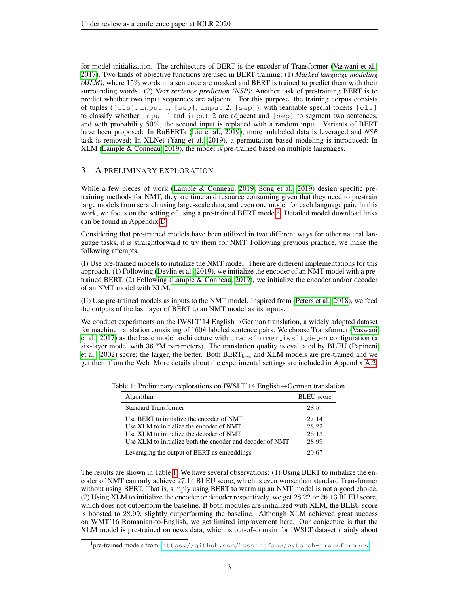for model initialization. The architecture of BERT is the encoder of Transformer [\(Vaswani et al.,](#page-11-4) [2017\)](#page-11-4). Two kinds of objective functions are used in BERT training: (1) *Masked language modeling (MLM)*, where 15% words in a sentence are masked and BERT is trained to predict them with their surrounding words. (2) *Next sentence prediction (NSP)*: Another task of pre-training BERT is to predict whether two input sequences are adjacent. For this purpose, the training corpus consists of tuples ([cls], input 1, [sep], input 2, [sep]), with learnable special tokens [cls] to classify whether input 1 and input 2 are adjacent and [sep] to segment two sentences, and with probability 50%, the second input is replaced with a random input. Variants of BERT have been proposed: In RoBERTa [\(Liu et al., 2019\)](#page-10-2), more unlabeled data is leveraged and *NSP* task is removed; In XLNet [\(Yang et al., 2019\)](#page-12-0), a permutation based modeling is introduced; In XLM [\(Lample & Conneau, 2019\)](#page-10-1), the model is pre-trained based on multiple languages.

# <span id="page-2-0"></span>3 A PRELIMINARY EXPLORATION

While a few pieces of work [\(Lample & Conneau, 2019;](#page-10-1) [Song et al., 2019\)](#page-11-6) design specific pretraining methods for NMT, they are time and resource consuming given that they need to pre-train large models from scratch using large-scale data, and even one model for each language pair. In this work, we focus on the setting of using a pre-trained BERT model<sup>[1](#page-2-1)</sup>. Detailed model download links can be found in Appendix [D.](#page-14-0)

Considering that pre-trained models have been utilized in two different ways for other natural language tasks, it is straightforward to try them for NMT. Following previous practice, we make the following attempts.

(I) Use pre-trained models to initialize the NMT model. There are different implementations for this approach. (1) Following [\(Devlin et al., 2019\)](#page-10-0), we initialize the encoder of an NMT model with a pretrained BERT. (2) Following [\(Lample & Conneau, 2019\)](#page-10-1), we initialize the encoder and/or decoder of an NMT model with XLM.

(II) Use pre-trained models as inputs to the NMT model. Inspired from [\(Peters et al., 2018\)](#page-11-0), we feed the outputs of the last layer of BERT to an NMT model as its inputs.

We conduct experiments on the IWSLT'14 English→German translation, a widely adopted dataset for machine translation consisting of 160k labeled sentence pairs. We choose Transformer [\(Vaswani](#page-11-4) [et al., 2017\)](#page-11-4) as the basic model architecture with  $transformer\_iwslt.de_en$  configuration (a six-layer model with 36.7M parameters). The translation quality is evaluated by BLEU [\(Papineni](#page-11-7) [et al., 2002\)](#page-11-7) score; the larger, the better. Both BERT<sub>base</sub> and XLM models are pre-trained and we get them from the Web. More details about the experimental settings are included in Appendix [A.2.](#page-13-0)

<span id="page-2-2"></span>

| Algorithm                                                                                                                                                                                      | <b>BLEU</b> score                |
|------------------------------------------------------------------------------------------------------------------------------------------------------------------------------------------------|----------------------------------|
| <b>Standard Transformer</b>                                                                                                                                                                    | 28.57                            |
| Use BERT to initialize the encoder of NMT<br>Use XLM to initialize the encoder of NMT<br>Use XLM to initialize the decoder of NMT<br>Use XLM to initialize both the encoder and decoder of NMT | 27.14<br>28.22<br>26.13<br>28.99 |
| Leveraging the output of BERT as embeddings                                                                                                                                                    | 29.67                            |

Table 1: Preliminary explorations on IWSLT'14 English→German translation.

The results are shown in Table [1.](#page-2-2) We have several observations: (1) Using BERT to initialize the encoder of NMT can only achieve 27.14 BLEU score, which is even worse than standard Transformer without using BERT. That is, simply using BERT to warm up an NMT model is not a good choice. (2) Using XLM to initialize the encoder or decoder respectively, we get 28.22 or 26.13 BLEU score, which does not outperform the baseline. If both modules are initialized with XLM, the BLEU score is boosted to 28.99, slightly outperforming the baseline. Although XLM achieved great success on WMT'16 Romanian-to-English, we get limited improvement here. Our conjecture is that the XLM model is pre-trained on news data, which is out-of-domain for IWSLT dataset mainly about

<span id="page-2-1"></span><sup>1</sup> pre-trained models from: <https://github.com/huggingface/pytorch-transformers>.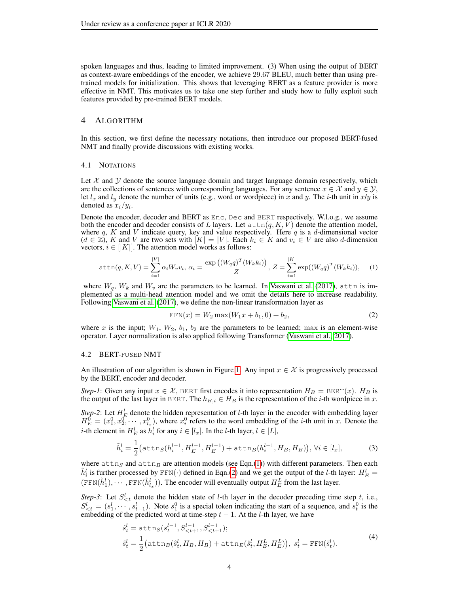spoken languages and thus, leading to limited improvement. (3) When using the output of BERT as context-aware embeddings of the encoder, we achieve 29.67 BLEU, much better than using pretrained models for initialization. This shows that leveraging BERT as a feature provider is more effective in NMT. This motivates us to take one step further and study how to fully exploit such features provided by pre-trained BERT models.

# <span id="page-3-0"></span>4 ALGORITHM

In this section, we first define the necessary notations, then introduce our proposed BERT-fused NMT and finally provide discussions with existing works.

### 4.1 NOTATIONS

Let  $X$  and  $Y$  denote the source language domain and target language domain respectively, which are the collections of sentences with corresponding languages. For any sentence  $x \in \mathcal{X}$  and  $y \in \mathcal{Y}$ , let  $l_x$  and  $l_y$  denote the number of units (e.g., word or wordpiece) in x and y. The *i*-th unit in x/y is denoted as  $x_i/y_i$ .

Denote the encoder, decoder and BERT as Enc, Dec and BERT respectively. W.l.o.g., we assume both the encoder and decoder consists of L layers. Let  $\text{attn}(q, K, V)$  denote the attention model, where q, K and V indicate query, key and value respectively. Here q is a d-dimensional vector  $(d \in \mathbb{Z})$ , K and V are two sets with  $|K| = |V|$ . Each  $k_i \in K$  and  $v_i \in V$  are also d-dimension vectors,  $i \in [|K|]$ . The attention model works as follows:

<span id="page-3-1"></span>
$$
\text{attn}(q, K, V) = \sum_{i=1}^{|V|} \alpha_i W_v v_i, \ \alpha_i = \frac{\exp((W_q q)^T (W_k k_i))}{Z}, \ Z = \sum_{i=1}^{|K|} \exp((W_q q)^T (W_k k_i)), \tag{1}
$$

where  $W_q$ ,  $W_k$  and  $W_v$  are the parameters to be learned. In [Vaswani et al.](#page-11-4) [\(2017\)](#page-11-4), attn is implemented as a multi-head attention model and we omit the details here to increase readability. Following [Vaswani et al.](#page-11-4) [\(2017\)](#page-11-4), we define the non-linear transformation layer as

<span id="page-3-2"></span>
$$
FFN(x) = W_2 \max(W_1 x + b_1, 0) + b_2,
$$
\n(2)

where x is the input;  $W_1$ ,  $W_2$ ,  $b_1$ ,  $b_2$  are the parameters to be learned; max is an element-wise operator. Layer normalization is also applied following Transformer [\(Vaswani et al., 2017\)](#page-11-4).

### 4.2 BERT-FUSED NMT

An illustration of our algorithm is shown in Figure [1.](#page-4-0) Any input  $x \in \mathcal{X}$  is progressively processed by the BERT, encoder and decoder.

*Step-1*: Given any input  $x \in \mathcal{X}$ , BERT first encodes it into representation  $H_B = \text{BERT}(x)$ .  $H_B$  is the output of the last layer in BERT. The  $h_{B,i} \in H_B$  is the representation of the *i*-th wordpiece in x.

*Step-2*: Let  $H_E^l$  denote the hidden representation of *l*-th layer in the encoder with embedding layer  $H_E^0 = (x_1^0, x_2^0, \dots, x_{l_x}^0)$ , where  $x_i^0$  refers to the word embedding of the *i*-th unit in x. Denote the *i*-th element in  $H_E^l$  as  $h_i^l$  for any  $i \in [l_x]$ . In the *l*-th layer,  $l \in [L]$ ,

<span id="page-3-4"></span>
$$
\tilde{h}_i^l = \frac{1}{2} \big( \text{attn}_S(h_i^{l-1}, H_E^{l-1}, H_E^{l-1}) + \text{attn}_B(h_i^{l-1}, H_B, H_B) \big), \forall i \in [l_x],
$$
\n(3)

where  $\text{attn}_S$  and  $\text{attn}_B$  are attention models (see Eqn.[\(1\)](#page-3-1)) with different parameters. Then each  $\tilde{h}_i^l$  is further processed by FFN( $\cdot$ ) defined in Eqn.[\(2\)](#page-3-2) and we get the output of the *l*-th layer:  $H_E^l$  =  $(FFN(\tilde{h}_1^l), \dots, FFN(\tilde{h}_{l_x}^l))$ . The encoder will eventually output  $H_E^L$  from the last layer.

*Step-3*: Let  $S_{\leq t}^l$  denote the hidden state of *l*-th layer in the decoder preceding time step t, i.e.,  $S_{\leq t}^l = (s_1^l, \dots, s_{t-1}^l)$ . Note  $s_1^0$  is a special token indicating the start of a sequence, and  $s_t^0$  is the embedding of the predicted word at time-step  $t - 1$ . At the l-th layer, we have

<span id="page-3-3"></span>
$$
\hat{s}_t^l = \text{attn}_S(s_t^{l-1}, S_{\n
$$
\tilde{s}_t^l = \frac{1}{2} \big( \text{attn}_B(\hat{s}_t^l, H_B, H_B) + \text{attn}_E(\hat{s}_t^l, H_E^L, H_E^L) \big), \ s_t^l = \text{FFN}(\tilde{s}_t^l).
$$
\n(4)
$$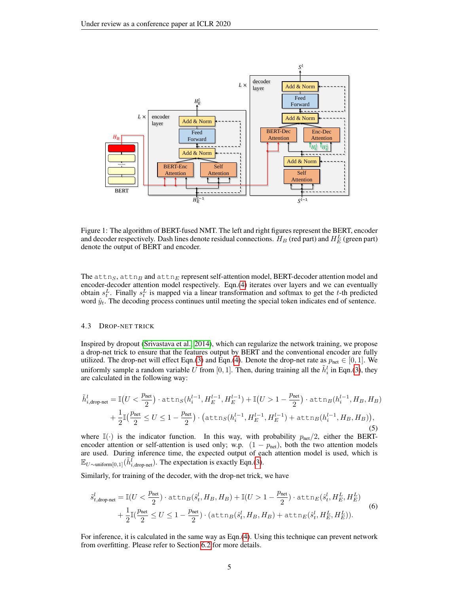

<span id="page-4-0"></span>Figure 1: The algorithm of BERT-fused NMT. The left and right figures represent the BERT, encoder and decoder respectively. Dash lines denote residual connections.  $H_B$  (red part) and  $H_E^L$  (green part) denote the output of BERT and encoder.

The  $\text{attn}_S$ ,  $\text{attn}_B$  and  $\text{attn}_E$  represent self-attention model, BERT-decoder attention model and encoder-decoder attention model respectively. Eqn.[\(4\)](#page-3-3) iterates over layers and we can eventually obtain  $s_t^L$ . Finally  $s_t^L$  is mapped via a linear transformation and softmax to get the t-th predicted word  $\hat{y}_t$ . The decoding process continues until meeting the special token indicates end of sentence.

### 4.3 DROP-NET TRICK

Inspired by dropout [\(Srivastava et al., 2014\)](#page-11-8), which can regularize the network training, we propose a drop-net trick to ensure that the features output by BERT and the conventional encoder are fully utilized. The drop-net will effect Eqn.[\(3\)](#page-3-4) and Eqn.[\(4\)](#page-3-3). Denote the drop-net rate as  $p_{\text{net}} \in [0, 1]$ . We uniformly sample a random variable U from [0, 1]. Then, during training all the  $\tilde{h}_i^l$  in Eqn.[\(3\)](#page-3-4), they are calculated in the following way:

$$
\tilde{h}_{i,\text{drop-net}}^{l} = \mathbb{I}\big(U < \frac{p_{\text{net}}}{2}\big) \cdot \text{attn}_{S}(h_{i}^{l-1}, H_{E}^{l-1}, H_{E}^{l-1}) + \mathbb{I}\big(U > 1 - \frac{p_{\text{net}}}{2}\big) \cdot \text{attn}_{B}(h_{i}^{l-1}, H_{B}, H_{B})
$$
\n
$$
+ \frac{1}{2}\mathbb{I}\big(\frac{p_{\text{net}}}{2} \le U \le 1 - \frac{p_{\text{net}}}{2}\big) \cdot \big(\text{attn}_{S}(h_{i}^{l-1}, H_{E}^{l-1}, H_{E}^{l-1}) + \text{attn}_{B}(h_{i}^{l-1}, H_{B}, H_{B})\big),\tag{5}
$$

where  $\mathbb{I}(\cdot)$  is the indicator function. In this way, with probability  $p_{\text{net}}/2$ , either the BERTencoder attention or self-attention is used only; w.p.  $(1 - p_{net})$ , both the two attention models are used. During inference time, the expected output of each attention model is used, which is  $\mathbb{E}_{U \sim \text{uniform}[0,1]}(\tilde{h}_{i,\text{drop-net}}^{\overline{l}})$ . The expectation is exactly Eqn.[\(3\)](#page-3-4).

Similarly, for training of the decoder, with the drop-net trick, we have

$$
\tilde{s}_{t,\text{drop-net}}^{l} = \mathbb{I}(U < \frac{p_{\text{net}}}{2}) \cdot \text{attn}_{B}(\hat{s}_{t}^{l}, H_{B}, H_{B}) + \mathbb{I}(U > 1 - \frac{p_{\text{net}}}{2}) \cdot \text{attn}_{E}(\hat{s}_{t}^{l}, H_{E}^{L}, H_{E}^{L}) + \frac{1}{2}\mathbb{I}(\frac{p_{\text{net}}}{2} \le U \le 1 - \frac{p_{\text{net}}}{2}) \cdot (\text{attn}_{B}(\hat{s}_{t}^{l}, H_{B}, H_{B}) + \text{attn}_{E}(\hat{s}_{t}^{l}, H_{E}^{L}, H_{E}^{L})).
$$
\n
$$
\tag{6}
$$

For inference, it is calculated in the same way as Eqn.[\(4\)](#page-3-3). Using this technique can prevent network from overfitting. Please refer to Section [6.2](#page-8-0) for more details.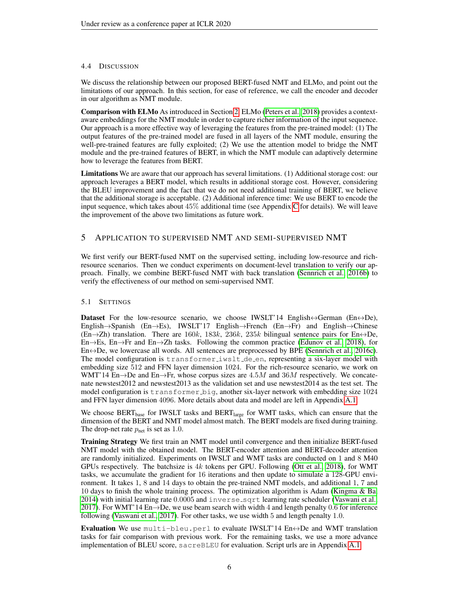# 4.4 DISCUSSION

We discuss the relationship between our proposed BERT-fused NMT and ELMo, and point out the limitations of our approach. In this section, for ease of reference, we call the encoder and decoder in our algorithm as NMT module.

Comparison with ELMo As introduced in Section [2,](#page-1-0) ELMo [\(Peters et al., 2018\)](#page-11-0) provides a contextaware embeddings for the NMT module in order to capture richer information of the input sequence. Our approach is a more effective way of leveraging the features from the pre-trained model: (1) The output features of the pre-trained model are fused in all layers of the NMT module, ensuring the well-pre-trained features are fully exploited; (2) We use the attention model to bridge the NMT module and the pre-trained features of BERT, in which the NMT module can adaptively determine how to leverage the features from BERT.

Limitations We are aware that our approach has several limitations. (1) Additional storage cost: our approach leverages a BERT model, which results in additional storage cost. However, considering the BLEU improvement and the fact that we do not need additional training of BERT, we believe that the additional storage is acceptable. (2) Additional inference time: We use BERT to encode the input sequence, which takes about 45% additional time (see Appendix [C](#page-14-1) for details). We will leave the improvement of the above two limitations as future work.

# <span id="page-5-0"></span>5 APPLICATION TO SUPERVISED NMT AND SEMI-SUPERVISED NMT

We first verify our BERT-fused NMT on the supervised setting, including low-resource and richresource scenarios. Then we conduct experiments on document-level translation to verify our approach. Finally, we combine BERT-fused NMT with back translation [\(Sennrich et al., 2016b\)](#page-11-3) to verify the effectiveness of our method on semi-supervised NMT.

# <span id="page-5-1"></span>5.1 SETTINGS

Dataset For the low-resource scenario, we choose IWSLT'14 English $\leftrightarrow$ German (En $\leftrightarrow$ De), English→Spanish (En→Es), IWSLT'17 English→French (En→Fr) and English→Chinese  $(En \rightarrow Zh)$  translation. There are 160k, 183k, 236k, 235k bilingual sentence pairs for  $En \leftrightarrow De$ , En $\rightarrow$ Es, En $\rightarrow$ Fr and En $\rightarrow$ Zh tasks. Following the common practice [\(Edunov et al., 2018\)](#page-10-10), for  $En \leftrightarrow De$ , we lowercase all words. All sentences are preprocessed by BPE [\(Sennrich et al., 2016c\)](#page-11-9). The model configuration is transformer iwslt de en, representing a six-layer model with embedding size 512 and FFN layer dimension 1024. For the rich-resource scenario, we work on WMT'14 En→De and En→Fr, whose corpus sizes are  $4.5M$  and  $36M$  respectively. We concatenate newstest2012 and newstest2013 as the validation set and use newstest2014 as the test set. The model configuration is transformer big, another six-layer network with embedding size 1024 and FFN layer dimension 4096. More details about data and model are left in Appendix [A.1.](#page-13-1)

We choose  $BERT_{base}$  for IWSLT tasks and  $BERT_{large}$  for WMT tasks, which can ensure that the dimension of the BERT and NMT model almost match. The BERT models are fixed during training. The drop-net rate  $p_{net}$  is set as 1.0.

Training Strategy We first train an NMT model until convergence and then initialize BERT-fused NMT model with the obtained model. The BERT-encoder attention and BERT-decoder attention are randomly initialized. Experiments on IWSLT and WMT tasks are conducted on 1 and 8 M40 GPUs respectively. The batchsize is 4k tokens per GPU. Following [\(Ott et al., 2018\)](#page-10-11), for WMT tasks, we accumulate the gradient for 16 iterations and then update to simulate a 128-GPU environment. It takes 1, 8 and 14 days to obtain the pre-trained NMT models, and additional 1, 7 and 10 days to finish the whole training process. The optimization algorithm is Adam [\(Kingma & Ba,](#page-10-12) [2014\)](#page-10-12) with initial learning rate 0.0005 and inverse\_sqrt learning rate scheduler [\(Vaswani et al.,](#page-11-4) [2017\)](#page-11-4). For WMT'14 En $\rightarrow$ De, we use beam search with width 4 and length penalty 0.6 for inference following [\(Vaswani et al., 2017\)](#page-11-4). For other tasks, we use width 5 and length penalty 1.0.

Evaluation We use  $multi-\text{bleu}$ , perl to evaluate IWSLT'14 En $\leftrightarrow$ De and WMT translation tasks for fair comparison with previous work. For the remaining tasks, we use a more advance implementation of BLEU score, sacreBLEU for evaluation. Script urls are in Appendix [A.1.](#page-13-1)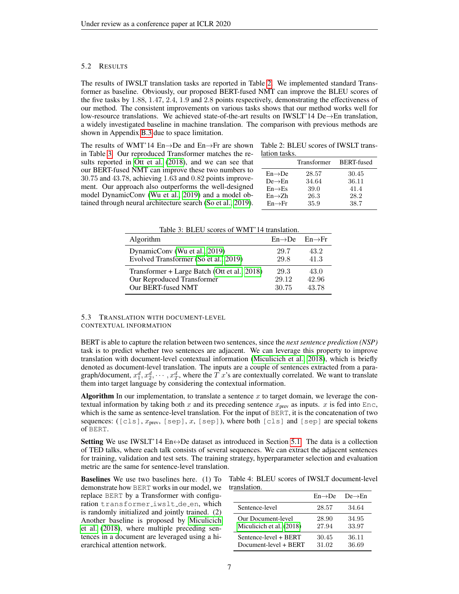### 5.2 RESULTS

The results of IWSLT translation tasks are reported in Table [2.](#page-6-0) We implemented standard Transformer as baseline. Obviously, our proposed BERT-fused NMT can improve the BLEU scores of the five tasks by 1.88, 1.47, 2.4, 1.9 and 2.8 points respectively, demonstrating the effectiveness of our method. The consistent improvements on various tasks shows that our method works well for low-resource translations. We achieved state-of-the-art results on IWSLT'14 De $\rightarrow$ En translation, a widely investigated baseline in machine translation. The comparison with previous methods are shown in Appendix [B.3](#page-14-2) due to space limitation.

The results of WMT'14 En→De and En→Fr are shown in Table [3.](#page-6-1) Our reproduced Transformer matches the results reported in [Ott et al.](#page-10-11) [\(2018\)](#page-10-11), and we can see that our BERT-fused NMT can improve these two numbers to 30.75 and 43.78, achieving 1.63 and 0.82 points improvement. Our approach also outperforms the well-designed model DynamicConv [\(Wu et al., 2019\)](#page-11-10) and a model obtained through neural architecture search [\(So et al., 2019\)](#page-11-11).

<span id="page-6-0"></span>Table 2: BLEU scores of IWSLT translation tasks.

| .                   |             |            |
|---------------------|-------------|------------|
|                     | Transformer | BERT-fused |
| $En \rightarrow De$ | 28.57       | 30.45      |
| $De \rightarrow En$ | 34.64       | 36.11      |
| $En \rightarrow Es$ | 39.0        | 41.4       |
| $En \rightarrow Zh$ | 26.3        | 28.2       |
| $En \rightarrow Fr$ | 35.9        | 38.7       |
|                     |             |            |

<span id="page-6-1"></span>Table 3: BLEU scores of WMT'14 translation.

| Algorithm                                    | $En \rightarrow De$ $En \rightarrow Fr$ |       |
|----------------------------------------------|-----------------------------------------|-------|
| DynamicConv (Wu et al., 2019)                | 29.7                                    | 43.2  |
| Evolved Transformer (So et al., 2019)        | 29.8                                    | 41.3  |
| Transformer + Large Batch (Ott et al., 2018) | 29.3                                    | 43.0  |
| Our Reproduced Transformer                   | 29.12                                   | 42.96 |
| Our BERT-fused NMT                           | 30.75                                   | 43.78 |

# 5.3 TRANSLATION WITH DOCUMENT-LEVEL CONTEXTUAL INFORMATION

BERT is able to capture the relation between two sentences, since the *next sentence prediction (NSP)* task is to predict whether two sentences are adjacent. We can leverage this property to improve translation with document-level contextual information [\(Miculicich et al., 2018\)](#page-10-13), which is briefly denoted as document-level translation. The inputs are a couple of sentences extracted from a paragraph/document,  $x_1^d, x_2^d, \cdots, x_T^d$ , where the  $T$  x's are contextually correlated. We want to translate them into target language by considering the contextual information.

Algorithm In our implementation, to translate a sentence  $x$  to target domain, we leverage the contextual information by taking both x and its preceding sentence  $x_{prev}$  as inputs. x is fed into Enc, which is the same as sentence-level translation. For the input of BERT, it is the concatenation of two sequences: ([cls],  $x_{\text{prev}}$ , [sep],  $x$ , [sep]), where both [cls] and [sep] are special tokens of BERT.

Setting We use IWSLT'14  $En \leftrightarrow De$  dataset as introduced in Section [5.1.](#page-5-1) The data is a collection of TED talks, where each talk consists of several sequences. We can extract the adjacent sentences for training, validation and test sets. The training strategy, hyperparameter selection and evaluation metric are the same for sentence-level translation.

Baselines We use two baselines here. (1) To demonstrate how BERT works in our model, we replace BERT by a Transformer with configuration transformer iwslt de en, which is randomly initialized and jointly trained. (2) Another baseline is proposed by [Miculicich](#page-10-13) [et al.](#page-10-13) [\(2018\)](#page-10-13), where multiple preceding sentences in a document are leveraged using a hierarchical attention network.

<span id="page-6-2"></span>

|              |  |  | Table 4: BLEU scores of IWSLT document-level |
|--------------|--|--|----------------------------------------------|
| translation. |  |  |                                              |

|                           | $En \rightarrow De$ | $De \rightarrow En$ |
|---------------------------|---------------------|---------------------|
| Sentence-level            | 28.57               | 34.64               |
| <b>Our Document-level</b> | 28.90               | 34.95               |
| Miculicich et al. (2018)  | 27.94               | 33.97               |
| Sentence-level + BERT     | 30.45               | 36.11               |
| Document-level + BERT     | 31.02               | 36.69               |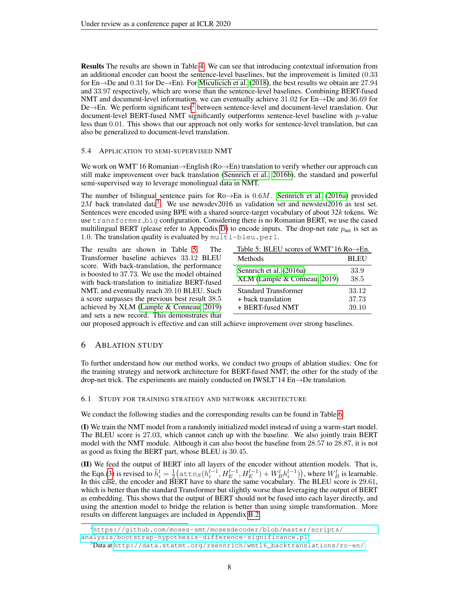Results The results are shown in Table [4.](#page-6-2) We can see that introducing contextual information from an additional encoder can boost the sentence-level baselines, but the improvement is limited (0.33 for En→De and 0.31 for De→En). For [Miculicich et al.](#page-10-13) [\(2018\)](#page-10-13), the best results we obtain are 27.94 and 33.97 respectively, which are worse than the sentence-level baselines. Combining BERT-fused NMT and document-level information, we can eventually achieve 31.02 for En→De and 36.69 for De→En. We perform significant test<sup>[2](#page-7-0)</sup> between sentence-level and document-level translation. Our document-level BERT-fused NMT significantly outperforms sentence-level baseline with p-value less than 0.01. This shows that our approach not only works for sentence-level translation, but can also be generalized to document-level translation.

### 5.4 APPLICATION TO SEMI-SUPERVISED NMT

We work on WMT'16 Romanian→English (Ro→En) translation to verify whether our approach can still make improvement over back translation [\(Sennrich et al., 2016b\)](#page-11-3), the standard and powerful semi-supervised way to leverage monolingual data in NMT.

The number of bilingual sentence pairs for  $Ro \rightarrow En$  is 0.6M. [Sennrich et al.](#page-11-12) [\(2016a\)](#page-11-12) provided  $2M$  back translated data<sup>[3](#page-7-1)</sup>. We use newsdev2016 as validation set and newstest2016 as test set. Sentences were encoded using BPE with a shared source-target vocabulary of about 32k tokens. We use transformer big configuration. Considering there is no Romanian BERT, we use the cased multilingual BERT (please refer to Appendix [D\)](#page-14-0) to encode inputs. The drop-net rate  $p_{\text{net}}$  is set as 1.0. The translation quality is evaluated by multi-bleu.perl.

The results are shown in Table [5.](#page-7-2) The Transformer baseline achieves 33.12 BLEU score. With back-translation, the performance is boosted to 37.73. We use the model obtained with back-translation to initialize BERT-fused NMT, and eventually reach 39.10 BLEU. Such a score surpasses the previous best result 38.5 achieved by XLM [\(Lample & Conneau, 2019\)](#page-10-1) and sets a new record. This demonstrates that

<span id="page-7-2"></span>

| Table 5: BLEU scores of WMT'16 $Ro\rightarrow En$ . |             |
|-----------------------------------------------------|-------------|
| Methods                                             | <b>BLEU</b> |
| Sennrich et al. (2016a)                             | 33.9        |
| XLM (Lample & Conneau, 2019)                        | 38.5        |
| <b>Standard Transformer</b>                         | 33.12       |
| + back translation                                  | 37.73       |
| + BERT-fused NMT                                    | 39.10       |

our proposed approach is effective and can still achieve improvement over strong baselines.

### 6 ABLATION STUDY

To further understand how our method works, we conduct two groups of ablation studies: One for the training strategy and network architecture for BERT-fused NMT; the other for the study of the drop-net trick. The experiments are mainly conducted on IWSLT'14  $En \rightarrow De$  translation.

### 6.1 STUDY FOR TRAINING STRATEGY AND NETWORK ARCHITECTURE

We conduct the following studies and the corresponding results can be found in Table [6:](#page-8-1)

(I) We train the NMT model from a randomly initialized model instead of using a warm-start model. The BLEU score is 27.03, which cannot catch up with the baseline. We also jointly train BERT model with the NMT module. Although it can also boost the baseline from 28.57 to 28.87, it is not as good as fixing the BERT part, whose BLEU is 30.45.

(II) We feed the output of BERT into all layers of the encoder without attention models. That is, the Eqn.[\(3\)](#page-3-4) is revised to  $\tilde{h}_i^l = \frac{1}{2} \big( \text{attn}_S(h_i^{l-1}, H_E^{l-1}, H_E^{l-1}) + W_B^l h_i^{l-1}) \big)$ , where  $W_B^l$  is learnable. In this case, the encoder and BERT have to share the same vocabulary. The BLEU score is 29.61, which is better than the standard Transformer but slightly worse than leveraging the output of BERT as embedding. This shows that the output of BERT should not be fused into each layer directly, and using the attention model to bridge the relation is better than using simple transformation. More results on different languages are included in Appendix [B.2.](#page-14-3)

<span id="page-7-0"></span><sup>2</sup>[https://github.com/moses-smt/mosesdecoder/blob/master/scripts/](https://github.com/moses-smt/mosesdecoder/blob/master/scripts/analysis/bootstrap-hypothesis-difference-significance.pl)

[analysis/bootstrap-hypothesis-difference-significance.pl](https://github.com/moses-smt/mosesdecoder/blob/master/scripts/analysis/bootstrap-hypothesis-difference-significance.pl)

<span id="page-7-1"></span> $3$ Data at [http://data.statmt.org/rsennrich/wmt16\\_backtranslations/ro-en/](http://data.statmt.org/rsennrich/wmt16_backtranslations/ro-en/).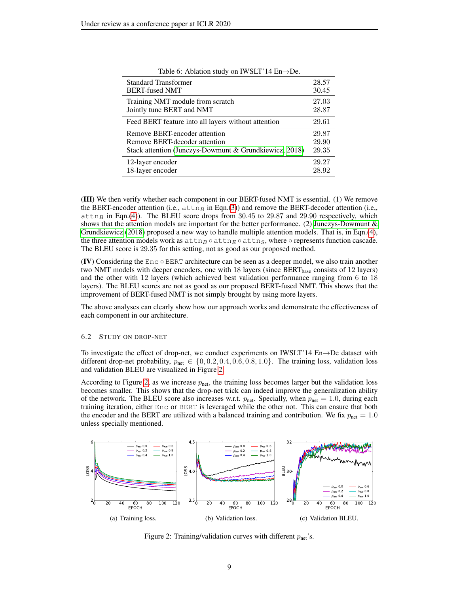<span id="page-8-1"></span>

| Table 6: Ablation study on IWSLT'14 $En \rightarrow De$ . |       |
|-----------------------------------------------------------|-------|
| <b>Standard Transformer</b>                               | 28.57 |
| <b>BERT-fused NMT</b>                                     | 30.45 |
| Training NMT module from scratch                          | 27.03 |
| Jointly tune BERT and NMT                                 | 28.87 |
| Feed BERT feature into all layers without attention       | 29.61 |
| Remove BERT-encoder attention                             | 29.87 |
| Remove BERT-decoder attention                             | 29.90 |
| Stack attention (Junczys-Dowmunt & Grundkiewicz, 2018)    | 29.35 |
| 12-layer encoder                                          | 29.27 |
| 18-layer encoder                                          | 28.92 |

(III) We then verify whether each component in our BERT-fused NMT is essential. (1) We remove the BERT-encoder attention (i.e.,  $\text{attn}_B$  in Eqn.[\(3\)](#page-3-4)) and remove the BERT-decoder attention (i.e.,  $\text{attn}_B$  in Eqn.[\(4\)](#page-3-3)). The BLEU score drops from 30.45 to 29.87 and 29.90 respectively, which shows that the attention models are important for the better performance. (2) [Junczys-Dowmunt &](#page-10-14) [Grundkiewicz](#page-10-14) [\(2018\)](#page-10-14) proposed a new way to handle multiple attention models. That is, in Eqn.[\(4\)](#page-3-3), the three attention models work as  $\text{attn}_B \circ \text{attn}_S$ , where  $\circ$  represents function cascade.

(IV) Considering the  $Enc \circ BERT$  architecture can be seen as a deeper model, we also train another two NMT models with deeper encoders, one with  $18$  layers (since BERT<sub>base</sub> consists of  $12$  layers) and the other with 12 layers (which achieved best validation performance ranging from 6 to 18 layers). The BLEU scores are not as good as our proposed BERT-fused NMT. This shows that the improvement of BERT-fused NMT is not simply brought by using more layers.

The BLEU score is 29.35 for this setting, not as good as our proposed method.

The above analyses can clearly show how our approach works and demonstrate the effectiveness of each component in our architecture.

#### <span id="page-8-0"></span>6.2 STUDY ON DROP-NET

To investigate the effect of drop-net, we conduct experiments on IWSLT'14 En→De dataset with different drop-net probability,  $p_{\text{net}} \in \{0, 0.2, 0.4, 0.6, 0.8, 1.0\}$ . The training loss, validation loss and validation BLEU are visualized in Figure [2.](#page-8-2)

According to Figure [2,](#page-8-2) as we increase  $p_{\text{net}}$ , the training loss becomes larger but the validation loss becomes smaller. This shows that the drop-net trick can indeed improve the generalization ability of the network. The BLEU score also increases w.r.t.  $p_{net}$ . Specially, when  $p_{net} = 1.0$ , during each training iteration, either Enc or BERT is leveraged while the other not. This can ensure that both the encoder and the BERT are utilized with a balanced training and contribution. We fix  $p_{net} = 1.0$ unless specially mentioned.



<span id="page-8-2"></span>Figure 2: Training/validation curves with different  $p_{net}$ 's.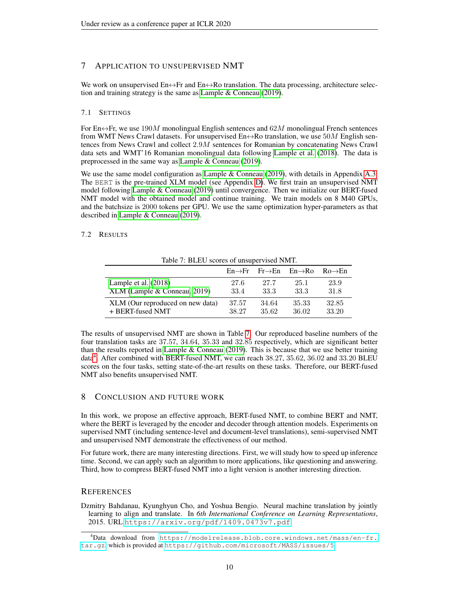# <span id="page-9-0"></span>7 APPLICATION TO UNSUPERVISED NMT

We work on unsupervised  $En \leftrightarrow Fr$  and  $En \leftrightarrow Ro$  translation. The data processing, architecture selection and training strategy is the same as [Lample & Conneau](#page-10-1) [\(2019\)](#page-10-1).

### 7.1 SETTINGS

For En $\leftrightarrow$ Fr, we use 190M monolingual English sentences and 62M monolingual French sentences from WMT News Crawl datasets. For unsupervised  $En \leftrightarrow Ro$  translation, we use 50M English sentences from News Crawl and collect 2.9M sentences for Romanian by concatenating News Crawl data sets and WMT'16 Romanian monolingual data following [Lample et al.](#page-10-15) [\(2018\)](#page-10-15). The data is preprocessed in the same way as [Lample & Conneau](#page-10-1) [\(2019\)](#page-10-1).

We use the same model configuration as [Lample & Conneau](#page-10-1) [\(2019\)](#page-10-1), with details in Appendix [A.3.](#page-13-2) The BERT is the pre-trained XLM model (see Appendix [D\)](#page-14-0). We first train an unsupervised NMT model following [Lample & Conneau](#page-10-1) [\(2019\)](#page-10-1) until convergence. Then we initialize our BERT-fused NMT model with the obtained model and continue training. We train models on 8 M40 GPUs, and the batchsize is 2000 tokens per GPU. We use the same optimization hyper-parameters as that described in [Lample & Conneau](#page-10-1) [\(2019\)](#page-10-1).

### 7.2 RESULTS

| Table 7. DLEO scores of unsupervised initial. |       |                                                             |       |                     |
|-----------------------------------------------|-------|-------------------------------------------------------------|-------|---------------------|
|                                               |       | $En \rightarrow Fr$ Fr $\rightarrow En$ En $\rightarrow Ro$ |       | $Ro \rightarrow En$ |
| Lample et al. $(2018)$                        | 27.6  | 27.7                                                        | 25.1  | 23.9                |
| XLM (Lample & Conneau, 2019)                  | 33.4  | 33.3                                                        | 33.3  | 31.8                |
| XLM (Our reproduced on new data)              | 37.57 | 34.64                                                       | 35.33 | 32.85               |
| + BERT-fused NMT                              | 38.27 | 35.62                                                       | 36.02 | 33.20               |

<span id="page-9-2"></span>Table 7: BLEU scores of unsupervised NMT.

The results of unsupervised NMT are shown in Table [7.](#page-9-2) Our reproduced baseline numbers of the four translation tasks are 37.57, 34.64, 35.33 and 32.85 respectively, which are significant better than the results reported in [Lample & Conneau](#page-10-1) [\(2019\)](#page-10-1). This is because that we use better training data<sup>[4](#page-9-3)</sup>. After combined with BERT-fused NMT, we can reach 38.27, 35.62, 36.02 and 33.20 BLEU scores on the four tasks, setting state-of-the-art results on these tasks. Therefore, our BERT-fused NMT also benefits unsupervised NMT.

# 8 CONCLUSION AND FUTURE WORK

In this work, we propose an effective approach, BERT-fused NMT, to combine BERT and NMT, where the BERT is leveraged by the encoder and decoder through attention models. Experiments on supervised NMT (including sentence-level and document-level translations), semi-supervised NMT and unsupervised NMT demonstrate the effectiveness of our method.

For future work, there are many interesting directions. First, we will study how to speed up inference time. Second, we can apply such an algorithm to more applications, like questioning and answering. Third, how to compress BERT-fused NMT into a light version is another interesting direction.

### **REFERENCES**

<span id="page-9-1"></span>Dzmitry Bahdanau, Kyunghyun Cho, and Yoshua Bengio. Neural machine translation by jointly learning to align and translate. In *6th International Conference on Learning Representations*, 2015. URL <https://arxiv.org/pdf/1409.0473v7.pdf>.

<span id="page-9-3"></span><sup>4</sup>Data download from [https://modelrelease.blob.core.windows.net/mass/en-fr.](https://modelrelease.blob.core.windows.net/mass/en-fr.tar.gz) [tar.gz](https://modelrelease.blob.core.windows.net/mass/en-fr.tar.gz), which is provided at <https://github.com/microsoft/MASS/issues/5>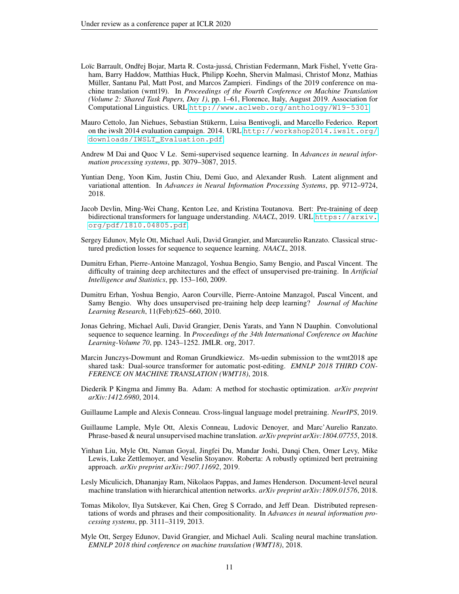- <span id="page-10-5"></span>Loïc Barrault, Ondřej Bojar, Marta R. Costa-jussá, Christian Federmann, Mark Fishel, Yvette Graham, Barry Haddow, Matthias Huck, Philipp Koehn, Shervin Malmasi, Christof Monz, Mathias Müller, Santanu Pal, Matt Post, and Marcos Zampieri. Findings of the 2019 conference on machine translation (wmt19). In *Proceedings of the Fourth Conference on Machine Translation (Volume 2: Shared Task Papers, Day 1)*, pp. 1–61, Florence, Italy, August 2019. Association for Computational Linguistics. URL <http://www.aclweb.org/anthology/W19-5301>.
- <span id="page-10-3"></span>Mauro Cettolo, Jan Niehues, Sebastian Stukerm, Luisa Bentivogli, and Marcello Federico. Report ¨ on the iwslt 2014 evaluation campaign. 2014. URL [http://workshop2014.iwslt.org/](http://workshop2014.iwslt.org/downloads/IWSLT_Evaluation.pdf) [downloads/IWSLT\\_Evaluation.pdf](http://workshop2014.iwslt.org/downloads/IWSLT_Evaluation.pdf).
- <span id="page-10-9"></span>Andrew M Dai and Quoc V Le. Semi-supervised sequence learning. In *Advances in neural information processing systems*, pp. 3079–3087, 2015.
- <span id="page-10-16"></span>Yuntian Deng, Yoon Kim, Justin Chiu, Demi Guo, and Alexander Rush. Latent alignment and variational attention. In *Advances in Neural Information Processing Systems*, pp. 9712–9724, 2018.
- <span id="page-10-0"></span>Jacob Devlin, Ming-Wei Chang, Kenton Lee, and Kristina Toutanova. Bert: Pre-training of deep bidirectional transformers for language understanding. *NAACL*, 2019. URL [https://arxiv.](https://arxiv.org/pdf/1810.04805.pdf) [org/pdf/1810.04805.pdf](https://arxiv.org/pdf/1810.04805.pdf).
- <span id="page-10-10"></span>Sergey Edunov, Myle Ott, Michael Auli, David Grangier, and Marcaurelio Ranzato. Classical structured prediction losses for sequence to sequence learning. *NAACL*, 2018.
- <span id="page-10-6"></span>Dumitru Erhan, Pierre-Antoine Manzagol, Yoshua Bengio, Samy Bengio, and Pascal Vincent. The difficulty of training deep architectures and the effect of unsupervised pre-training. In *Artificial Intelligence and Statistics*, pp. 153–160, 2009.
- <span id="page-10-7"></span>Dumitru Erhan, Yoshua Bengio, Aaron Courville, Pierre-Antoine Manzagol, Pascal Vincent, and Samy Bengio. Why does unsupervised pre-training help deep learning? *Journal of Machine Learning Research*, 11(Feb):625–660, 2010.
- <span id="page-10-4"></span>Jonas Gehring, Michael Auli, David Grangier, Denis Yarats, and Yann N Dauphin. Convolutional sequence to sequence learning. In *Proceedings of the 34th International Conference on Machine Learning-Volume 70*, pp. 1243–1252. JMLR. org, 2017.
- <span id="page-10-14"></span>Marcin Junczys-Dowmunt and Roman Grundkiewicz. Ms-uedin submission to the wmt2018 ape shared task: Dual-source transformer for automatic post-editing. *EMNLP 2018 THIRD CON-FERENCE ON MACHINE TRANSLATION (WMT18)*, 2018.
- <span id="page-10-12"></span>Diederik P Kingma and Jimmy Ba. Adam: A method for stochastic optimization. *arXiv preprint arXiv:1412.6980*, 2014.
- <span id="page-10-1"></span>Guillaume Lample and Alexis Conneau. Cross-lingual language model pretraining. *NeurIPS*, 2019.
- <span id="page-10-15"></span>Guillaume Lample, Myle Ott, Alexis Conneau, Ludovic Denoyer, and Marc'Aurelio Ranzato. Phrase-based & neural unsupervised machine translation. *arXiv preprint arXiv:1804.07755*, 2018.
- <span id="page-10-2"></span>Yinhan Liu, Myle Ott, Naman Goyal, Jingfei Du, Mandar Joshi, Danqi Chen, Omer Levy, Mike Lewis, Luke Zettlemoyer, and Veselin Stoyanov. Roberta: A robustly optimized bert pretraining approach. *arXiv preprint arXiv:1907.11692*, 2019.
- <span id="page-10-13"></span>Lesly Miculicich, Dhananjay Ram, Nikolaos Pappas, and James Henderson. Document-level neural machine translation with hierarchical attention networks. *arXiv preprint arXiv:1809.01576*, 2018.
- <span id="page-10-8"></span>Tomas Mikolov, Ilya Sutskever, Kai Chen, Greg S Corrado, and Jeff Dean. Distributed representations of words and phrases and their compositionality. In *Advances in neural information processing systems*, pp. 3111–3119, 2013.
- <span id="page-10-11"></span>Myle Ott, Sergey Edunov, David Grangier, and Michael Auli. Scaling neural machine translation. *EMNLP 2018 third conference on machine translation (WMT18)*, 2018.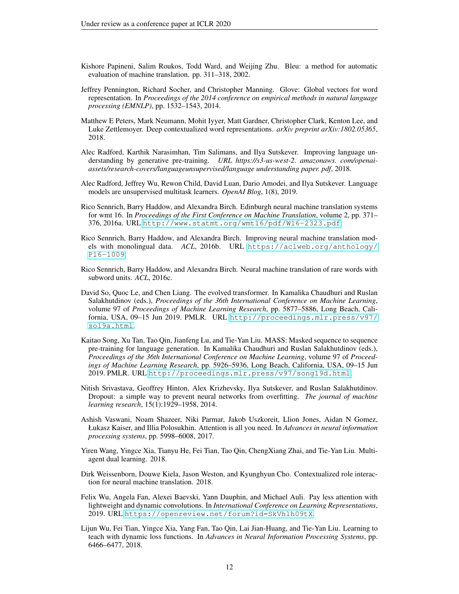- <span id="page-11-7"></span>Kishore Papineni, Salim Roukos, Todd Ward, and Weijing Zhu. Bleu: a method for automatic evaluation of machine translation. pp. 311–318, 2002.
- <span id="page-11-5"></span>Jeffrey Pennington, Richard Socher, and Christopher Manning. Glove: Global vectors for word representation. In *Proceedings of the 2014 conference on empirical methods in natural language processing (EMNLP)*, pp. 1532–1543, 2014.
- <span id="page-11-0"></span>Matthew E Peters, Mark Neumann, Mohit Iyyer, Matt Gardner, Christopher Clark, Kenton Lee, and Luke Zettlemoyer. Deep contextualized word representations. *arXiv preprint arXiv:1802.05365*, 2018.
- <span id="page-11-1"></span>Alec Radford, Karthik Narasimhan, Tim Salimans, and Ilya Sutskever. Improving language understanding by generative pre-training. *URL https://s3-us-west-2. amazonaws. com/openaiassets/research-covers/languageunsupervised/language understanding paper. pdf*, 2018.
- <span id="page-11-2"></span>Alec Radford, Jeffrey Wu, Rewon Child, David Luan, Dario Amodei, and Ilya Sutskever. Language models are unsupervised multitask learners. *OpenAI Blog*, 1(8), 2019.
- <span id="page-11-12"></span>Rico Sennrich, Barry Haddow, and Alexandra Birch. Edinburgh neural machine translation systems for wmt 16. In *Proceedings of the First Conference on Machine Translation*, volume 2, pp. 371– 376, 2016a. URL <http://www.statmt.org/wmt16/pdf/W16-2323.pdf>.
- <span id="page-11-3"></span>Rico Sennrich, Barry Haddow, and Alexandra Birch. Improving neural machine translation models with monolingual data. *ACL*, 2016b. URL [https://aclweb.org/anthology/](https://aclweb.org/anthology/P16-1009) [P16-1009](https://aclweb.org/anthology/P16-1009).
- <span id="page-11-9"></span>Rico Sennrich, Barry Haddow, and Alexandra Birch. Neural machine translation of rare words with subword units. *ACL*, 2016c.
- <span id="page-11-11"></span>David So, Quoc Le, and Chen Liang. The evolved transformer. In Kamalika Chaudhuri and Ruslan Salakhutdinov (eds.), *Proceedings of the 36th International Conference on Machine Learning*, volume 97 of *Proceedings of Machine Learning Research*, pp. 5877–5886, Long Beach, California, USA, 09–15 Jun 2019. PMLR. URL [http://proceedings.mlr.press/v97/](http://proceedings.mlr.press/v97/so19a.html) [so19a.html](http://proceedings.mlr.press/v97/so19a.html).
- <span id="page-11-6"></span>Kaitao Song, Xu Tan, Tao Qin, Jianfeng Lu, and Tie-Yan Liu. MASS: Masked sequence to sequence pre-training for language generation. In Kamalika Chaudhuri and Ruslan Salakhutdinov (eds.), *Proceedings of the 36th International Conference on Machine Learning*, volume 97 of *Proceedings of Machine Learning Research*, pp. 5926–5936, Long Beach, California, USA, 09–15 Jun 2019. PMLR. URL <http://proceedings.mlr.press/v97/song19d.html>.
- <span id="page-11-8"></span>Nitish Srivastava, Geoffrey Hinton, Alex Krizhevsky, Ilya Sutskever, and Ruslan Salakhutdinov. Dropout: a simple way to prevent neural networks from overfitting. *The journal of machine learning research*, 15(1):1929–1958, 2014.
- <span id="page-11-4"></span>Ashish Vaswani, Noam Shazeer, Niki Parmar, Jakob Uszkoreit, Llion Jones, Aidan N Gomez, Łukasz Kaiser, and Illia Polosukhin. Attention is all you need. In *Advances in neural information processing systems*, pp. 5998–6008, 2017.
- <span id="page-11-13"></span>Yiren Wang, Yingce Xia, Tianyu He, Fei Tian, Tao Qin, ChengXiang Zhai, and Tie-Yan Liu. Multiagent dual learning. 2018.
- <span id="page-11-15"></span>Dirk Weissenborn, Douwe Kiela, Jason Weston, and Kyunghyun Cho. Contextualized role interaction for neural machine translation. 2018.
- <span id="page-11-10"></span>Felix Wu, Angela Fan, Alexei Baevski, Yann Dauphin, and Michael Auli. Pay less attention with lightweight and dynamic convolutions. In *International Conference on Learning Representations*, 2019. URL <https://openreview.net/forum?id=SkVhlh09tX>.
- <span id="page-11-14"></span>Lijun Wu, Fei Tian, Yingce Xia, Yang Fan, Tao Qin, Lai Jian-Huang, and Tie-Yan Liu. Learning to teach with dynamic loss functions. In *Advances in Neural Information Processing Systems*, pp. 6466–6477, 2018.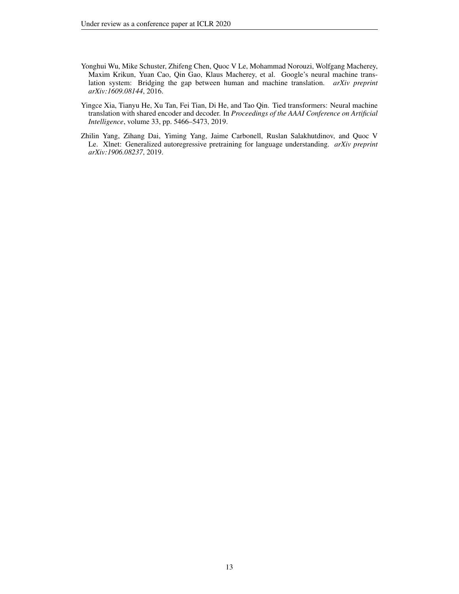- <span id="page-12-1"></span>Yonghui Wu, Mike Schuster, Zhifeng Chen, Quoc V Le, Mohammad Norouzi, Wolfgang Macherey, Maxim Krikun, Yuan Cao, Qin Gao, Klaus Macherey, et al. Google's neural machine translation system: Bridging the gap between human and machine translation. *arXiv preprint arXiv:1609.08144*, 2016.
- <span id="page-12-2"></span>Yingce Xia, Tianyu He, Xu Tan, Fei Tian, Di He, and Tao Qin. Tied transformers: Neural machine translation with shared encoder and decoder. In *Proceedings of the AAAI Conference on Artificial Intelligence*, volume 33, pp. 5466–5473, 2019.
- <span id="page-12-0"></span>Zhilin Yang, Zihang Dai, Yiming Yang, Jaime Carbonell, Ruslan Salakhutdinov, and Quoc V Le. Xlnet: Generalized autoregressive pretraining for language understanding. *arXiv preprint arXiv:1906.08237*, 2019.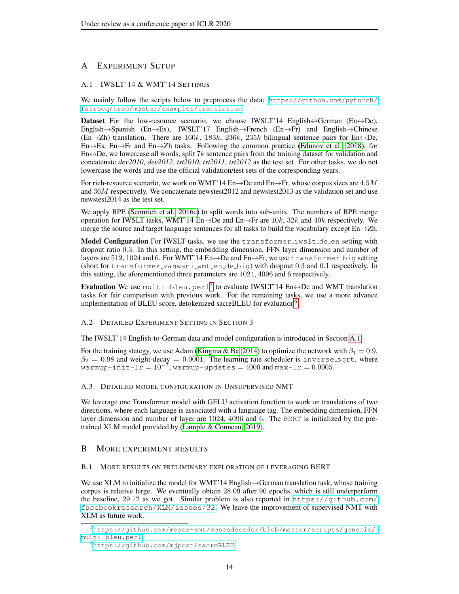# A EXPERIMENT SETUP

### <span id="page-13-1"></span>A.1 IWSLT'14 & WMT'14 SETTINGS

We mainly follow the scripts below to preprocess the data: [https://github.com/pytorch/](https://github.com/pytorch/fairseq/tree/master/examples/translation) [fairseq/tree/master/examples/translation](https://github.com/pytorch/fairseq/tree/master/examples/translation)

**Dataset** For the low-resource scenario, we choose IWSLT'14 English $\leftrightarrow$ German (En $\leftrightarrow$ De), English→Spanish (En→Es), IWSLT'17 English→French (En→Fr) and English→Chinese (En $\rightarrow$ Zh) translation. There are 160k, 183k, 236k, 235k bilingual sentence pairs for En $\leftrightarrow$ De, En $\rightarrow$ Es, En $\rightarrow$ Fr and En $\rightarrow$ Zh tasks. Following the common practice [\(Edunov et al., 2018\)](#page-10-10), for  $En \leftrightarrow De$ , we lowercase all words, split 7k sentence pairs from the training dataset for validation and concatenate *dev2010*, *dev2012*, *tst2010*, *tst2011*, *tst2012* as the test set. For other tasks, we do not lowercase the words and use the official validation/test sets of the corresponding years.

For rich-resource scenario, we work on WMT'14 En $\rightarrow$ De and En $\rightarrow$ Fr, whose corpus sizes are 4.5M and 36M respectively. We concatenate newstest2012 and newstest2013 as the validation set and use newstest2014 as the test set.

We apply BPE [\(Sennrich et al., 2016c\)](#page-11-9) to split words into sub-units. The numbers of BPE merge operation for IWSLT tasks, WMT'14 En→De and En→Fr are  $10k$ ,  $32k$  and  $40k$  respectively. We merge the source and target language sentences for all tasks to build the vocabulary except  $En \rightarrow Zh$ .

Model Configuration For IWSLT tasks, we use the transformer iwslt de en setting with dropout ratio 0.3. In this setting, the embedding dimension, FFN layer dimension and number of layers are 512, 1024 and 6. For WMT'14 En→De and En→Fr, we use transformer big setting (short for transformer vaswani wmt en de big) with dropout 0.3 and 0.1 respectively. In this setting, the aforementioned three parameters are 1024, 4096 and 6 respectively.

**Evaluation** We use <code>multi-bleu.perl $^5$  $^5$ </code> to evaluate IWSLT'14 En $\leftrightarrow$ De and WMT translation tasks for fair comparison with previous work. For the remaining tasks, we use a more advance implementation of BLEU score, detokenized sacreBLEU for evaluation<sup>[6](#page-13-4)</sup>.

### <span id="page-13-0"></span>A.2 DETAILED EXPERIMENT SETTING IN SECTION 3

The IWSLT'14 English-to-German data and model configuration is introduced in Section [A.1.](#page-13-1)

For the training stategy, we use Adam [\(Kingma & Ba, 2014\)](#page-10-12) to optimize the network with  $\beta_1 = 0.9$ ,  $\beta_2 = 0.98$  and weight-decay = 0.0001. The learning rate scheduler is inverse-sqrt, where warmup-init-l $\bar{r} = 10^{-7}$ , warmup-updates =  $4000$  and max-lr = 0.0005.

### <span id="page-13-2"></span>A.3 DETAILED MODEL CONFIGURATION IN UNSUPERVISED NMT

We leverage one Transformer model with GELU activation function to work on translations of two directions, where each language is associated with a language tag. The embedding dimension, FFN layer dimension and number of layer are 1024, 4096 and 6. The BERT is initialized by the pretrained XLM model provided by [\(Lample & Conneau, 2019\)](#page-10-1).

# B MORE EXPERIMENT RESULTS

### B.1 MORE RESULTS ON PRELIMINARY EXPLORATION OF LEVERAGING BERT

We use XLM to initialize the model for WMT'14 English→German translation task, whose training corpus is relative large. We eventually obtain 28.09 after 90 epochs, which is still underperform the baseline, 29.12 as we got. Similar problem is also reported in [https://github.com/](https://github.com/facebookresearch/XLM/issues/32) [facebookresearch/XLM/issues/32](https://github.com/facebookresearch/XLM/issues/32). We leave the improvement of supervised NMT with XLM as future work.

<span id="page-13-3"></span><sup>5</sup>[https://github.com/moses-smt/mosesdecoder/blob/master/scripts/generic/](https://github.com/moses-smt/mosesdecoder/blob/master/scripts/generic/multi-bleu.perl) [multi-bleu.perl](https://github.com/moses-smt/mosesdecoder/blob/master/scripts/generic/multi-bleu.perl)

<span id="page-13-4"></span><sup>6</sup><https://github.com/mjpost/sacreBLEU>.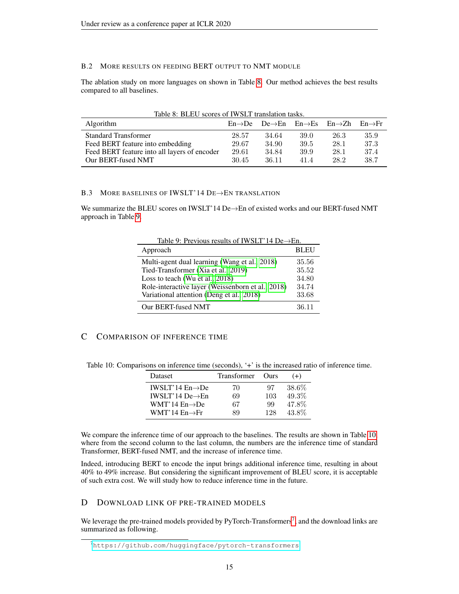# <span id="page-14-3"></span>B.2 MORE RESULTS ON FEEDING BERT OUTPUT TO NMT MODULE

The ablation study on more languages on shown in Table [8.](#page-14-4) Our method achieves the best results compared to all baselines.

<span id="page-14-4"></span>

|  | Table 8: BLEU scores of IWSLT translation tasks. |  |
|--|--------------------------------------------------|--|
|--|--------------------------------------------------|--|

| <b>Algorithm</b>                             |       | $En \rightarrow De$ $De \rightarrow En$ $En \rightarrow Es$ $En \rightarrow Zh$ $En \rightarrow Fr$ |      |      |      |
|----------------------------------------------|-------|-----------------------------------------------------------------------------------------------------|------|------|------|
| <b>Standard Transformer</b>                  | 28.57 | 34.64                                                                                               | 39.0 | 26.3 | 35.9 |
| Feed BERT feature into embedding             | 29.67 | 34.90                                                                                               | 39.5 | 28.1 | 37.3 |
| Feed BERT feature into all layers of encoder | 29.61 | 34.84                                                                                               | 39.9 | 28.1 | 37.4 |
| Our BERT-fused NMT                           | 30.45 | 36.11                                                                                               | 414  | 28.2 | 38.7 |

### <span id="page-14-2"></span>B.3 MORE BASELINES OF IWSLT'14 DE→EN TRANSLATION

We summarize the BLEU scores on IWSLT'14 De→En of existed works and our BERT-fused NMT approach in Table [9.](#page-14-5)

<span id="page-14-5"></span>

| Table 9: Previous results of IWSLT'14 De $\rightarrow$ En. |             |  |  |  |
|------------------------------------------------------------|-------------|--|--|--|
| Approach                                                   | <b>BLEU</b> |  |  |  |
| Multi-agent dual learning (Wang et al., 2018)              | 35.56       |  |  |  |
| Tied-Transformer (Xia et al., 2019)                        | 35.52       |  |  |  |
| Loss to teach (Wu et al., 2018)                            | 34.80       |  |  |  |
| Role-interactive layer (Weissenborn et al., 2018)          | 34.74       |  |  |  |
| Variational attention (Deng et al., 2018)                  | 33.68       |  |  |  |
| Our BERT-fused NMT                                         | 36.11       |  |  |  |

# <span id="page-14-1"></span>C COMPARISON OF INFERENCE TIME

Table 10: Comparisons on inference time (seconds), '+' is the increased ratio of inference time.

<span id="page-14-6"></span>

| Dataset                      | <b>Transformer</b> | <b>Ours</b> | $(+)$ |
|------------------------------|--------------------|-------------|-------|
| IWSLT'14 $En \rightarrow De$ | 70                 | 97          | 38.6% |
| IWSLT'14 De $\rightarrow$ En | 69                 | 103         | 49.3% |
| WMT'14 $En \rightarrow De$   | 67                 | 99          | 47.8% |
| WMT'14 $En \rightarrow Fr$   | gα                 | 128         | 43.8% |

We compare the inference time of our approach to the baselines. The results are shown in Table [10,](#page-14-6) where from the second column to the last column, the numbers are the inference time of standard Transformer, BERT-fused NMT, and the increase of inference time.

Indeed, introducing BERT to encode the input brings additional inference time, resulting in about 40% to 49% increase. But considering the significant improvement of BLEU score, it is acceptable of such extra cost. We will study how to reduce inference time in the future.

# <span id="page-14-0"></span>D DOWNLOAD LINK OF PRE-TRAINED MODELS

We leverage the pre-trained models provided by PyTorch-Transformers<sup>[7](#page-14-7)</sup>, and the download links are summarized as following.

<span id="page-14-7"></span><sup>7</sup><https://github.com/huggingface/pytorch-transformers>